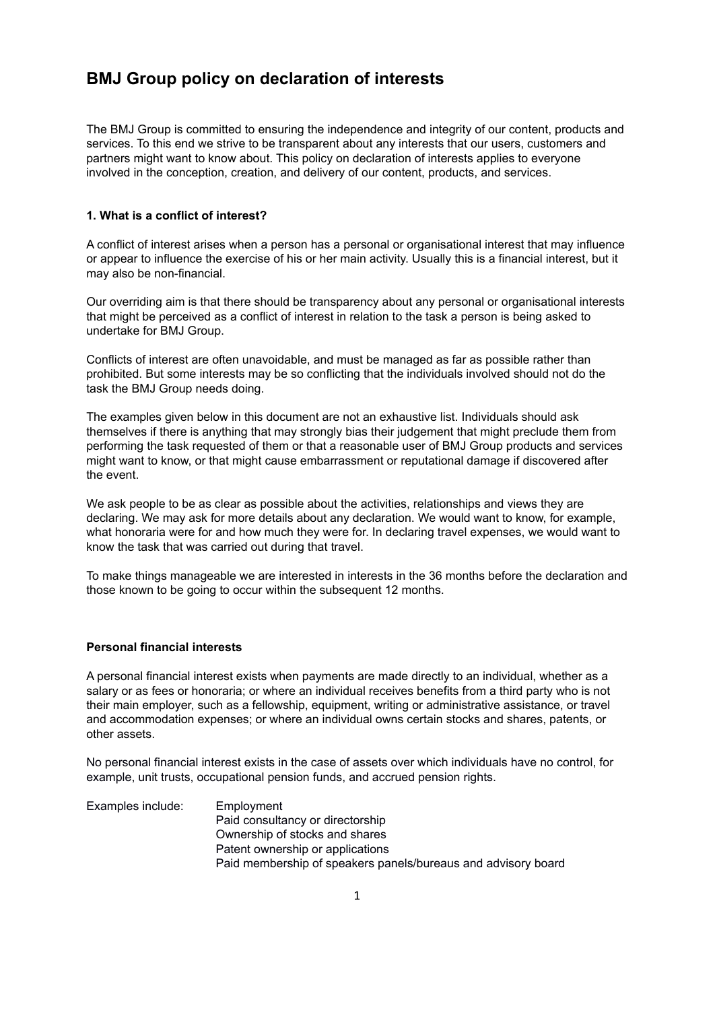# **BMJ Group policy on declaration of interests**

The BMJ Group is committed to ensuring the independence and integrity of our content, products and services. To this end we strive to be transparent about any interests that our users, customers and partners might want to know about. This policy on declaration of interests applies to everyone involved in the conception, creation, and delivery of our content, products, and services.

# **1. What is a conflict of interest?**

A conflict of interest arises when a person has a personal or organisational interest that may influence or appear to influence the exercise of his or her main activity. Usually this is a financial interest, but it may also be non-financial.

Our overriding aim is that there should be transparency about any personal or organisational interests that might be perceived as a conflict of interest in relation to the task a person is being asked to undertake for BMJ Group.

Conflicts of interest are often unavoidable, and must be managed as far as possible rather than prohibited. But some interests may be so conflicting that the individuals involved should not do the task the BMJ Group needs doing.

The examples given below in this document are not an exhaustive list. Individuals should ask themselves if there is anything that may strongly bias their judgement that might preclude them from performing the task requested of them or that a reasonable user of BMJ Group products and services might want to know, or that might cause embarrassment or reputational damage if discovered after the event.

We ask people to be as clear as possible about the activities, relationships and views they are declaring. We may ask for more details about any declaration. We would want to know, for example, what honoraria were for and how much they were for. In declaring travel expenses, we would want to know the task that was carried out during that travel.

To make things manageable we are interested in interests in the 36 months before the declaration and those known to be going to occur within the subsequent 12 months.

### **Personal financial interests**

A personal financial interest exists when payments are made directly to an individual, whether as a salary or as fees or honoraria; or where an individual receives benefits from a third party who is not their main employer, such as a fellowship, equipment, writing or administrative assistance, or travel and accommodation expenses; or where an individual owns certain stocks and shares, patents, or other assets.

No personal financial interest exists in the case of assets over which individuals have no control, for example, unit trusts, occupational pension funds, and accrued pension rights.

Examples include: Employment Paid consultancy or directorship Ownership of stocks and shares Patent ownership or applications Paid membership of speakers panels/bureaus and advisory board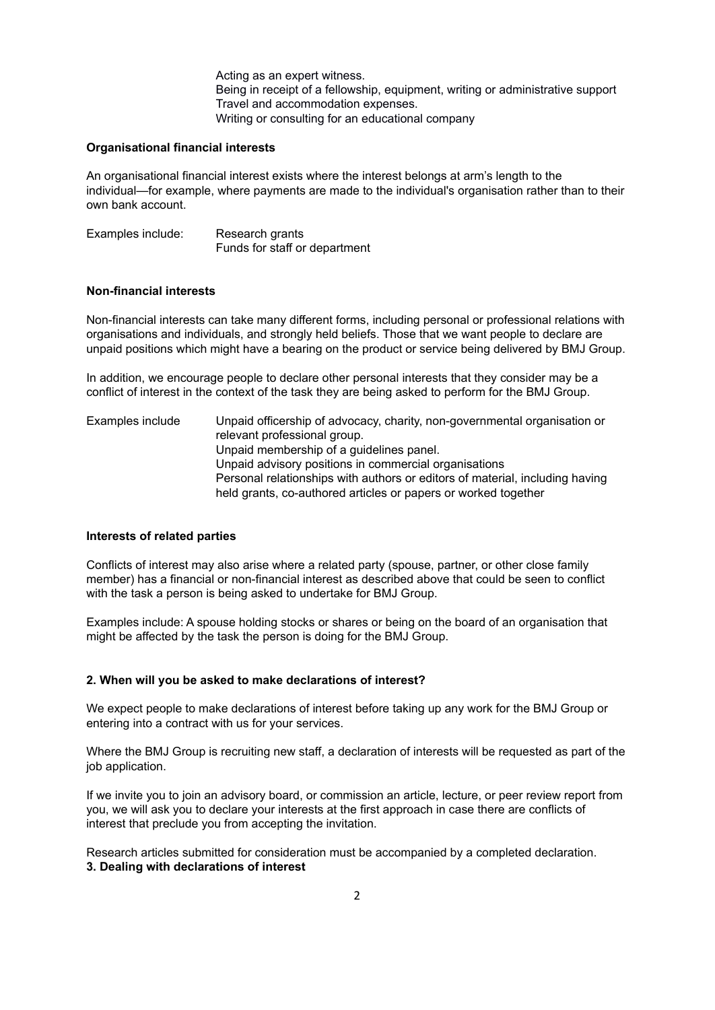Acting as an expert witness. Being in receipt of a fellowship, equipment, writing or administrative support Travel and accommodation expenses. Writing or consulting for an educational company

#### **Organisational financial interests**

An organisational financial interest exists where the interest belongs at arm's length to the individual—for example, where payments are made to the individual's organisation rather than to their own bank account.

Examples include: Research grants Funds for staff or department

#### **Non-financial interests**

Non-financial interests can take many different forms, including personal or professional relations with organisations and individuals, and strongly held beliefs. Those that we want people to declare are unpaid positions which might have a bearing on the product or service being delivered by BMJ Group.

In addition, we encourage people to declare other personal interests that they consider may be a conflict of interest in the context of the task they are being asked to perform for the BMJ Group.

Examples include Unpaid officership of advocacy, charity, non-governmental organisation or relevant professional group. Unpaid membership of a guidelines panel. Unpaid advisory positions in commercial organisations Personal relationships with authors or editors of material, including having held grants, co-authored articles or papers or worked together

#### **Interests of related parties**

Conflicts of interest may also arise where a related party (spouse, partner, or other close family member) has a financial or non-financial interest as described above that could be seen to conflict with the task a person is being asked to undertake for BMJ Group.

Examples include: A spouse holding stocks or shares or being on the board of an organisation that might be affected by the task the person is doing for the BMJ Group.

#### **2. When will you be asked to make declarations of interest?**

We expect people to make declarations of interest before taking up any work for the BMJ Group or entering into a contract with us for your services.

Where the BMJ Group is recruiting new staff, a declaration of interests will be requested as part of the job application.

If we invite you to join an advisory board, or commission an article, lecture, or peer review report from you, we will ask you to declare your interests at the first approach in case there are conflicts of interest that preclude you from accepting the invitation.

Research articles submitted for consideration must be accompanied by a completed declaration. **3. Dealing with declarations of interest**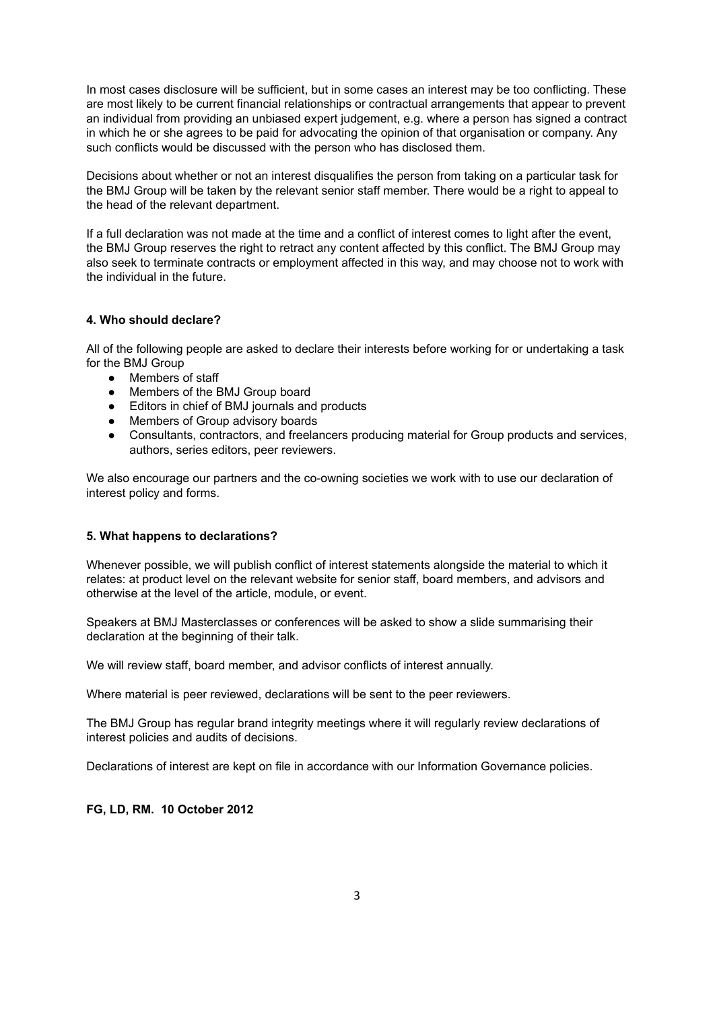In most cases disclosure will be sufficient, but in some cases an interest may be too conflicting. These are most likely to be current financial relationships or contractual arrangements that appear to prevent an individual from providing an unbiased expert judgement, e.g. where a person has signed a contract in which he or she agrees to be paid for advocating the opinion of that organisation or company. Any such conflicts would be discussed with the person who has disclosed them.

Decisions about whether or not an interest disqualifies the person from taking on a particular task for the BMJ Group will be taken by the relevant senior staff member. There would be a right to appeal to the head of the relevant department.

If a full declaration was not made at the time and a conflict of interest comes to light after the event, the BMJ Group reserves the right to retract any content affected by this conflict. The BMJ Group may also seek to terminate contracts or employment affected in this way, and may choose not to work with the individual in the future.

# **4. Who should declare?**

All of the following people are asked to declare their interests before working for or undertaking a task for the BMJ Group

- Members of staff
- Members of the BMJ Group board
- Editors in chief of BMJ journals and products
- **●** Members of Group advisory boards
- **●** Consultants, contractors, and freelancers producing material for Group products and services, authors, series editors, peer reviewers.

We also encourage our partners and the co-owning societies we work with to use our declaration of interest policy and forms.

## **5. What happens to declarations?**

Whenever possible, we will publish conflict of interest statements alongside the material to which it relates: at product level on the relevant website for senior staff, board members, and advisors and otherwise at the level of the article, module, or event.

Speakers at BMJ Masterclasses or conferences will be asked to show a slide summarising their declaration at the beginning of their talk.

We will review staff, board member, and advisor conflicts of interest annually.

Where material is peer reviewed, declarations will be sent to the peer reviewers.

The BMJ Group has regular brand integrity meetings where it will regularly review declarations of interest policies and audits of decisions.

Declarations of interest are kept on file in accordance with our Information Governance policies.

## **FG, LD, RM. 10 October 2012**